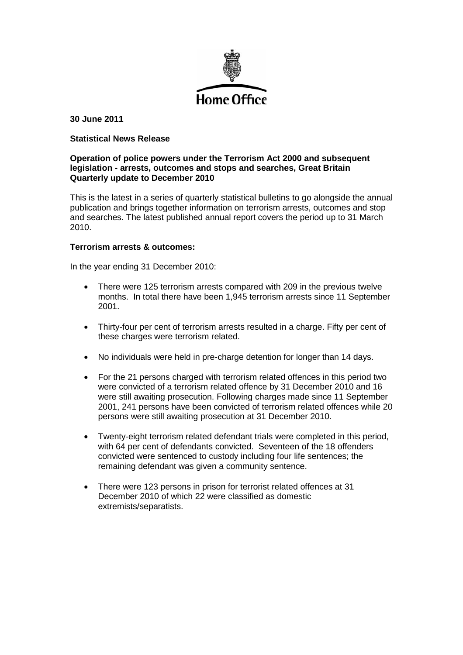

**30 June 2011**

# **Statistical News Release**

# **Operation of police powers under the Terrorism Act 2000 and subsequent legislation - arrests, outcomes and stops and searches, Great Britain Quarterly update to December 2010**

This is the latest in a series of quarterly statistical bulletins to go alongside the annual publication and brings together information on terrorism arrests, outcomes and stop and searches. The latest published annual report covers the period up to 31 March 2010.

### **Terrorism arrests & outcomes:**

In the year ending 31 December 2010:

- There were 125 terrorism arrests compared with 209 in the previous twelve months. In total there have been 1,945 terrorism arrests since 11 September 2001.
- Thirty-four per cent of terrorism arrests resulted in a charge. Fifty per cent of these charges were terrorism related.
- No individuals were held in pre-charge detention for longer than 14 days.
- For the 21 persons charged with terrorism related offences in this period two were convicted of a terrorism related offence by 31 December 2010 and 16 were still awaiting prosecution. Following charges made since 11 September 2001, 241 persons have been convicted of terrorism related offences while 20 persons were still awaiting prosecution at 31 December 2010.
- Twenty-eight terrorism related defendant trials were completed in this period, with 64 per cent of defendants convicted. Seventeen of the 18 offenders convicted were sentenced to custody including four life sentences; the remaining defendant was given a community sentence.
- There were 123 persons in prison for terrorist related offences at 31 December 2010 of which 22 were classified as domestic extremists/separatists.